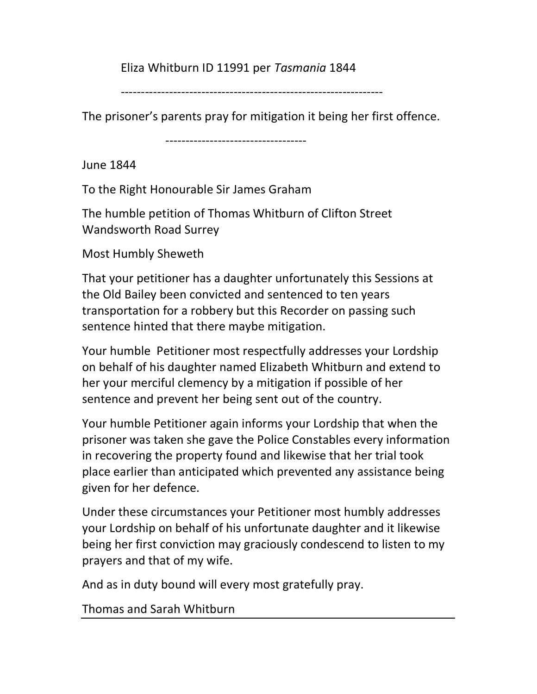## Eliza Whitburn ID 11991 per Tasmania 1844

-----------------------------------------------------------------

The prisoner's parents pray for mitigation it being her first offence.

-----------------------------------

June 1844

To the Right Honourable Sir James Graham

The humble petition of Thomas Whitburn of Clifton Street Wandsworth Road Surrey

Most Humbly Sheweth

That your petitioner has a daughter unfortunately this Sessions at the Old Bailey been convicted and sentenced to ten years transportation for a robbery but this Recorder on passing such sentence hinted that there maybe mitigation.

Your humble Petitioner most respectfully addresses your Lordship on behalf of his daughter named Elizabeth Whitburn and extend to her your merciful clemency by a mitigation if possible of her sentence and prevent her being sent out of the country.

Your humble Petitioner again informs your Lordship that when the prisoner was taken she gave the Police Constables every information in recovering the property found and likewise that her trial took place earlier than anticipated which prevented any assistance being given for her defence.

Under these circumstances your Petitioner most humbly addresses your Lordship on behalf of his unfortunate daughter and it likewise being her first conviction may graciously condescend to listen to my prayers and that of my wife.

And as in duty bound will every most gratefully pray.

Thomas and Sarah Whitburn